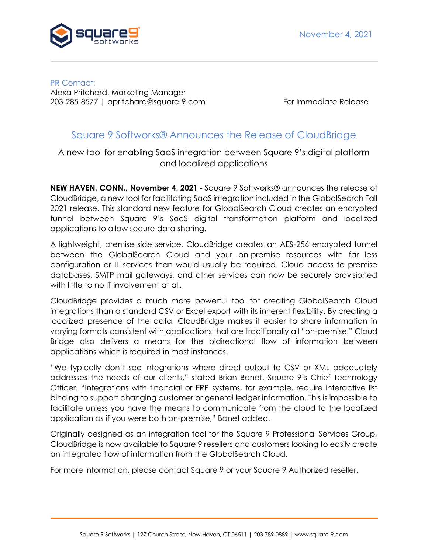

PR Contact: Alexa Pritchard, Marketing Manager 203-285-8577 | apritchard@square-9.com For Immediate Release

## Square 9 Softworks® Announces the Release of CloudBridge

A new tool for enabling SaaS integration between Square 9's digital platform and localized applications

**NEW HAVEN, CONN., November 4, 2021** - Square 9 Softworks® announces the release of CloudBridge, a new tool for facilitating SaaS integration included in the GlobalSearch Fall 2021 release. This standard new feature for GlobalSearch Cloud creates an encrypted tunnel between Square 9's SaaS digital transformation platform and localized applications to allow secure data sharing.

A lightweight, premise side service, CloudBridge creates an AES-256 encrypted tunnel between the GlobalSearch Cloud and your on-premise resources with far less configuration or IT services than would usually be required. Cloud access to premise databases, SMTP mail gateways, and other services can now be securely provisioned with little to no IT involvement at all.

CloudBridge provides a much more powerful tool for creating GlobalSearch Cloud integrations than a standard CSV or Excel export with its inherent flexibility. By creating a localized presence of the data, CloudBridge makes it easier to share information in varying formats consistent with applications that are traditionally all "on-premise." Cloud Bridge also delivers a means for the bidirectional flow of information between applications which is required in most instances.

"We typically don't see integrations where direct output to CSV or XML adequately addresses the needs of our clients," stated Brian Banet, Square 9's Chief Technology Officer. "Integrations with financial or ERP systems, for example, require interactive list binding to support changing customer or general ledger information. This is impossible to facilitate unless you have the means to communicate from the cloud to the localized application as if you were both on-premise," Banet added.

Originally designed as an integration tool for the Square 9 Professional Services Group, CloudBridge is now available to Square 9 resellers and customers looking to easily create an integrated flow of information from the GlobalSearch Cloud.

For more information, please contact Square 9 or your Square 9 Authorized reseller.